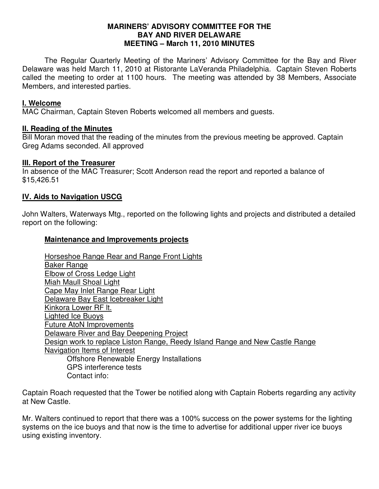#### **MARINERS' ADVISORY COMMITTEE FOR THE BAY AND RIVER DELAWARE MEETING – March 11, 2010 MINUTES**

 The Regular Quarterly Meeting of the Mariners' Advisory Committee for the Bay and River Delaware was held March 11, 2010 at Ristorante LaVeranda Philadelphia. Captain Steven Roberts called the meeting to order at 1100 hours. The meeting was attended by 38 Members, Associate Members, and interested parties.

## **I. Welcome**

MAC Chairman, Captain Steven Roberts welcomed all members and guests.

### **II. Reading of the Minutes**

Bill Moran moved that the reading of the minutes from the previous meeting be approved. Captain Greg Adams seconded. All approved

### **III. Report of the Treasurer**

In absence of the MAC Treasurer; Scott Anderson read the report and reported a balance of \$15,426.51

## **IV. Aids to Navigation USCG**

John Walters, Waterways Mtg., reported on the following lights and projects and distributed a detailed report on the following:

### **Maintenance and Improvements projects**

Horseshoe Range Rear and Range Front Lights Baker Range Elbow of Cross Ledge Light Miah Maull Shoal Light Cape May Inlet Range Rear Light Delaware Bay East Icebreaker Light Kinkora Lower RF lt. Lighted Ice Buoys Future AtoN Improvements Delaware River and Bay Deepening Project Design work to replace Liston Range, Reedy Island Range and New Castle Range Navigation Items of Interest Offshore Renewable Energy Installations GPS interference tests Contact info:

Captain Roach requested that the Tower be notified along with Captain Roberts regarding any activity at New Castle.

Mr. Walters continued to report that there was a 100% success on the power systems for the lighting systems on the ice buoys and that now is the time to advertise for additional upper river ice buoys using existing inventory.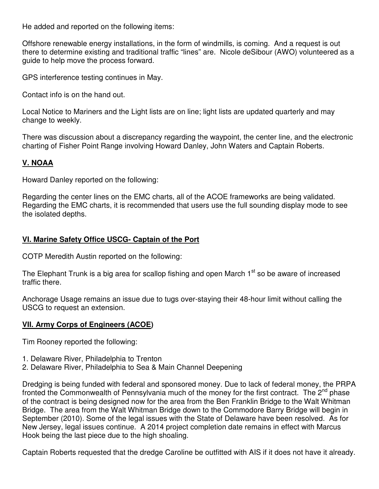He added and reported on the following items:

Offshore renewable energy installations, in the form of windmills, is coming. And a request is out there to determine existing and traditional traffic "lines" are. Nicole deSibour (AWO) volunteered as a guide to help move the process forward.

GPS interference testing continues in May.

Contact info is on the hand out.

Local Notice to Mariners and the Light lists are on line; light lists are updated quarterly and may change to weekly.

There was discussion about a discrepancy regarding the waypoint, the center line, and the electronic charting of Fisher Point Range involving Howard Danley, John Waters and Captain Roberts.

# **V. NOAA**

Howard Danley reported on the following:

Regarding the center lines on the EMC charts, all of the ACOE frameworks are being validated. Regarding the EMC charts, it is recommended that users use the full sounding display mode to see the isolated depths.

## **VI. Marine Safety Office USCG- Captain of the Port**

COTP Meredith Austin reported on the following:

The Elephant Trunk is a big area for scallop fishing and open March  $1<sup>st</sup>$  so be aware of increased traffic there.

Anchorage Usage remains an issue due to tugs over-staying their 48-hour limit without calling the USCG to request an extension.

### **VII. Army Corps of Engineers (ACOE)**

Tim Rooney reported the following:

- 1. Delaware River, Philadelphia to Trenton
- 2. Delaware River, Philadelphia to Sea & Main Channel Deepening

Dredging is being funded with federal and sponsored money. Due to lack of federal money, the PRPA fronted the Commonwealth of Pennsylvania much of the money for the first contract. The  $2^{nd}$  phase of the contract is being designed now for the area from the Ben Franklin Bridge to the Walt Whitman Bridge. The area from the Walt Whitman Bridge down to the Commodore Barry Bridge will begin in September (2010). Some of the legal issues with the State of Delaware have been resolved. As for New Jersey, legal issues continue. A 2014 project completion date remains in effect with Marcus Hook being the last piece due to the high shoaling.

Captain Roberts requested that the dredge Caroline be outfitted with AIS if it does not have it already.